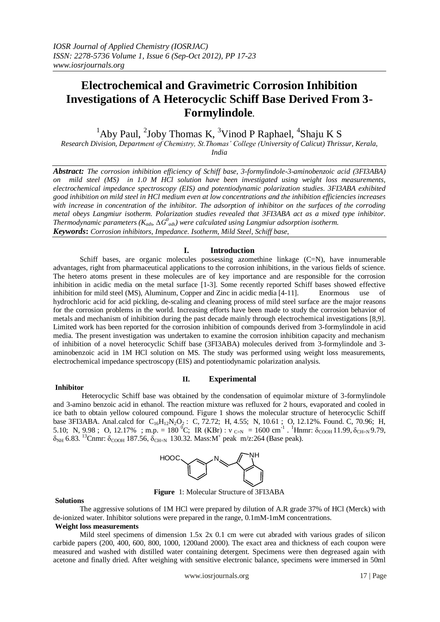# **Electrochemical and Gravimetric Corrosion Inhibition Investigations of A Heterocyclic Schiff Base Derived From 3- Formylindole.**

 $1$ Aby Paul,  $2$ Joby Thomas K,  $3$ Vinod P Raphael,  $4$ Shaju K S

*Research Division, Department of Chemistry, St.Thomas' College (University of Calicut) Thrissur, Kerala, India*

*Abstract: The corrosion inhibition efficiency of Schiff base, 3-formylindole-3-aminobenzoic acid (3FI3ABA) on mild steel (MS) in 1.0 M HCl solution have been investigated using weight loss measurements, electrochemical impedance spectroscopy (EIS) and potentiodynamic polarization studies. 3FI3ABA exhibited good inhibition on mild steel in HCl medium even at low concentrations and the inhibition efficiencies increases with increase in concentration of the inhibitor. The adsorption of inhibitor on the surfaces of the corroding metal obeys Langmiur isotherm. Polarization studies revealed that 3FI3ABA act as a mixed type inhibitor. Thermodynamic parameters (Kads, ∆G<sup>0</sup> ads) were calculated using Langmiur adsorption isotherm. Keywords***:** *Corrosion inhibitors, Impedance. Isotherm, Mild Steel, Schiff base,*

# **I. Introduction**

Schiff bases, are organic molecules possessing azomethine linkage (C=N), have innumerable advantages, right from pharmaceutical applications to the corrosion inhibitions, in the various fields of science. The hetero atoms present in these molecules are of key importance and are responsible for the corrosion inhibition in acidic media on the metal surface [1-3]. Some recently reported Schiff bases showed effective inhibition for mild steel (MS), Aluminum, Copper and Zinc in acidic media [4-11]. Enormous use of hydrochloric acid for acid pickling, de-scaling and cleaning process of mild steel surface are the major reasons for the corrosion problems in the world. Increasing efforts have been made to study the corrosion behavior of metals and mechanism of inhibition during the past decade mainly through electrochemical investigations [8,9]. Limited work has been reported for the corrosion inhibition of compounds derived from 3-formylindole in acid media. The present investigation was undertaken to examine the corrosion inhibition capacity and mechanism of inhibition of a novel heterocyclic Schiff base (3FI3ABA) molecules derived from 3-formylindole and 3 aminobenzoic acid in 1M HCl solution on MS. The study was performed using weight loss measurements, electrochemical impedance spectroscopy (EIS) and potentiodynamic polarization analysis.

## **Inhibitor**

# **II. Experimental**

 Heterocyclic Schiff base was obtained by the condensation of equimolar mixture of 3-formylindole and 3-amino benzoic acid in ethanol. The reaction mixture was refluxed for 2 hours, evaporated and cooled in ice bath to obtain yellow coloured compound. Figure 1 shows the molecular structure of heterocyclic Schiff base 3FI3ABA. Anal.calcd for  $C_{16}H_{12}N_2O_2$ : C, 72.72; H, 4.55; N, 10.61; O, 12.12%. Found. C, 70.96; H, 5.10; N, 9.98; O, 12.17%; m.p. = 180<sup>°</sup>C; IR (KBr):  $v_{c=N} = 1600 \text{ cm}^{-1}$ . <sup>1</sup>Hnmr:  $\delta_{\text{COOH}}$  11.99,  $\delta_{\text{CH=N}}$  9.79,  $\delta_{NH}$  6.83. <sup>13</sup>Cnmr:  $\delta_{\rm COOH}$  187.56,  $\delta_{\rm CH=N}$  130.32. Mass:M<sup>+</sup> peak m/z:264 (Base peak).



**Figure** 1: Molecular Structure of 3FI3ABA

#### **Solutions**

 The aggressive solutions of 1M HCl were prepared by dilution of A.R grade 37% of HCl (Merck) with de-ionized water. Inhibitor solutions were prepared in the range, 0.1mM-1mM concentrations.

# **Weight loss measurements**

Mild steel specimens of dimension  $1.5x$   $2x$  0.1 cm were cut abraded with various grades of silicon carbide papers (200, 400, 600, 800, 1000, 1200and 2000). The exact area and thickness of each coupon were measured and washed with distilled water containing detergent. Specimens were then degreased again with acetone and finally dried. After weighing with sensitive electronic balance, specimens were immersed in 50ml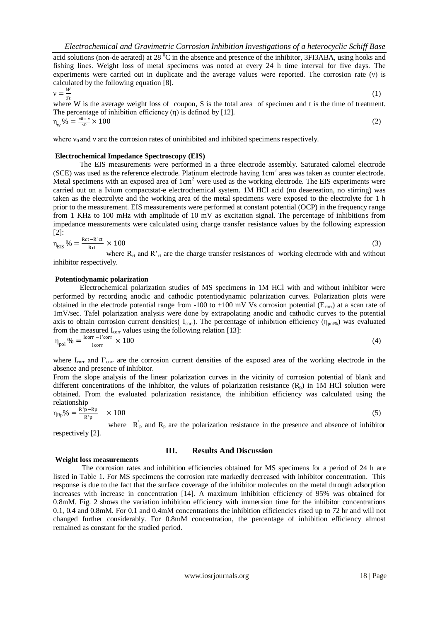acid solutions (non-de aerated) at 28  $\rm{^0C}$  in the absence and presence of the inhibitor, 3FI3ABA, using hooks and fishing lines. Weight loss of metal specimens was noted at every 24 h time interval for five days. The experiments were carried out in duplicate and the average values were reported. The corrosion rate (ν) is calculated by the following equation [8].

$$
v = \frac{W}{c}
$$

where W is the average weight loss of coupon, S is the total area of specimen and t is the time of treatment. The percentage of inhibition efficiency  $(\eta)$  is defined by [12].  $\eta_{w}$ % =  $\frac{v_0 - v}{v_0}$  $\times$  100 (2)

where  $v_0$  and v are the corrosion rates of uninhibited and inhibited specimens respectively.

### **Electrochemical Impedance Spectroscopy (EIS)**

The EIS measurements were performed in a three electrode assembly. Saturated calomel electrode  $(SCE)$  was used as the reference electrode. Platinum electrode having  $1 \text{cm}^2$  area was taken as counter electrode. Metal specimens with an exposed area of  $1cm<sup>2</sup>$  were used as the working electrode. The EIS experiments were carried out on a Ivium compactstat-e electrochemical system. 1M HCl acid (no deaereation, no stirring) was taken as the electrolyte and the working area of the metal specimens were exposed to the electrolyte for 1 h prior to the measurement. EIS measurements were performed at constant potential (OCP) in the frequency range from 1 KHz to 100 mHz with amplitude of 10 mV as excitation signal. The percentage of inhibitions from impedance measurements were calculated using charge transfer resistance values by the following expression [2]:

$$
\eta_{\rm EIS} \% = \frac{\text{Rct} - \text{R'ct}}{\text{Rct}} \times 100 \tag{3}
$$

where  $R_{ct}$  and  $R'_{ct}$  are the charge transfer resistances of working electrode with and without inhibitor respectively.

#### **Potentiodynamic polarization**

Electrochemical polarization studies of MS specimens in 1M HCl with and without inhibitor were performed by recording anodic and cathodic potentiodynamic polarization curves. Polarization plots were obtained in the electrode potential range from -100 to +100 mV Vs corrosion potential ( $E_{\text{corr}}$ ) at a scan rate of 1mV/sec. Tafel polarization analysis were done by extrapolating anodic and cathodic curves to the potential axis to obtain corrosion current densities(  $I_{\text{corr}}$ ). The percentage of inhibition efficiency ( $\eta_{\text{poly}}$ ) was evaluated from the measured  $I_{\text{corr}}$  values using the following relation [13]:

$$
\eta_{pol} \% = \frac{1 \text{corr} - 1 \text{corr}}{1 \text{corr}} \times 100 \tag{4}
$$

where  $I_{\text{corr}}$  and  $I'_{\text{corr}}$  are the corrosion current densities of the exposed area of the working electrode in the absence and presence of inhibitor.

From the slope analysis of the linear polarization curves in the vicinity of corrosion potential of blank and different concentrations of the inhibitor, the values of polarization resistance  $(R_p)$  in 1M HCl solution were obtained. From the evaluated polarization resistance, the inhibition efficiency was calculated using the relationship

$$
\eta_{\rm Rp}\% = \frac{\rm R^{\prime}p - \rm Rp}{\rm R^{\prime}p} \quad \times 100 \tag{5}
$$

where  $\overrightarrow{R}_p$  and  $\overrightarrow{R}_p$  are the polarization resistance in the presence and absence of inhibitor respectively [2].

#### **Weight loss measurements**

# **III. Results And Discussion**

The corrosion rates and inhibition efficiencies obtained for MS specimens for a period of 24 h are listed in Table 1. For MS specimens the corrosion rate markedly decreased with inhibitor concentration. This response is due to the fact that the surface coverage of the inhibitor molecules on the metal through adsorption increases with increase in concentration [14]. A maximum inhibition efficiency of 95% was obtained for 0.8mM. Fig. 2 shows the variation inhibition efficiency with immersion time for the inhibitor concentrations 0.1, 0.4 and 0.8mM. For 0.1 and 0.4mM concentrations the inhibition efficiencies rised up to 72 hr and will not changed further considerably. For 0.8mM concentration, the percentage of inhibition efficiency almost remained as constant for the studied period.

(1)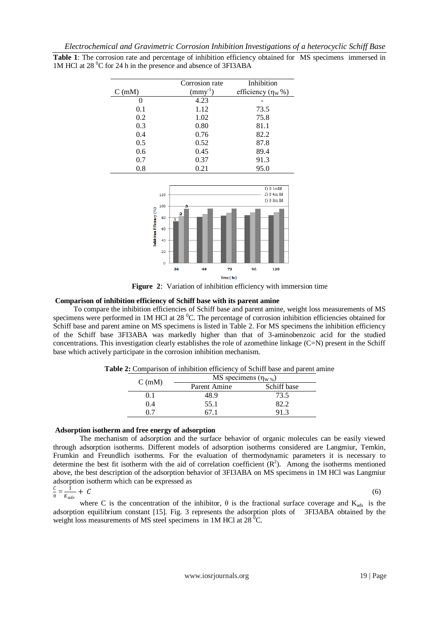|  |  |                                                                             |  | Table 1: The corrosion rate and percentage of inhibition efficiency obtained for MS specimens immersed in |  |
|--|--|-----------------------------------------------------------------------------|--|-----------------------------------------------------------------------------------------------------------|--|
|  |  | 1M HCl at 28 <sup>o</sup> C for 24 h in the presence and absence of 3FI3ABA |  |                                                                                                           |  |

|         | Corrosion rate | Inhibition                |
|---------|----------------|---------------------------|
| C(mM)   | $(mmy^{-1})$   | efficiency $(\eta_W \% )$ |
| 0       | 4.23           |                           |
| 0.1     | 1.12           | 73.5                      |
| 0.2     | 1.02           | 75.8                      |
| 0.3     | 0.80           | 81.1                      |
| 0.4     | 0.76           | 82.2                      |
| 0.5     | 0.52           | 87.8                      |
| 0.6     | 0.45           | 89.4                      |
| 0.7     | 0.37           | 91.3                      |
| $0.8\,$ | 0.21           | 95.0                      |



**Figure 2**: Variation of inhibition efficiency with immersion time

## **Comparison of inhibition efficiency of Schiff base with its parent amine**

 To compare the inhibition efficiencies of Schiff base and parent amine, weight loss measurements of MS specimens were performed in 1M HCl at 28 <sup>o</sup>C. The percentage of corrosion inhibition efficiencies obtained for Schiff base and parent amine on MS specimens is listed in Table 2. For MS specimens the inhibition efficiency of the Schiff base 3FI3ABA was markedly higher than that of 3-aminobenzoic acid for the studied concentrations. This investigation clearly establishes the role of azomethine linkage  $(C=N)$  present in the Schiff base which actively participate in the corrosion inhibition mechanism.

| C(mM) | MS specimens $(\eta_{W\%})$ |             |  |  |  |  |
|-------|-----------------------------|-------------|--|--|--|--|
|       | Parent Amine                | Schiff base |  |  |  |  |
| 0.1   | 48.9                        | 73.5        |  |  |  |  |
| 0.4   | 55.1                        | 82.2        |  |  |  |  |
|       | 67 I                        | 913         |  |  |  |  |

**Table 2:** Comparison of inhibition efficiency of Schiff base and parent amine

## **Adsorption isotherm and free energy of adsorption**

The mechanism of adsorption and the surface behavior of organic molecules can be easily viewed through adsorption isotherms. Different models of adsorption isotherms considered are Langmiur, Temkin, Frumkin and Freundlich isotherms. For the evaluation of thermodynamic parameters it is necessary to determine the best fit isotherm with the aid of correlation coefficient  $(R^2)$ . Among the isotherms mentioned above, the best description of the adsorption behavior of 3FI3ABA on MS specimens in 1M HCl was Langmiur adsorption isotherm which can be expressed as

$$
\frac{c}{\theta} = \frac{\hat{i}}{K_{ads}} + C
$$
 (6)

where C is the concentration of the inhibitor,  $\theta$  is the fractional surface coverage and K<sub>ads</sub> is the adsorption equilibrium constant [15]. Fig. 3 represents the adsorption plots of 3FI3ABA obtained by the weight loss measurements of MS steel specimens in 1M HCl at  $28\,^0C$ .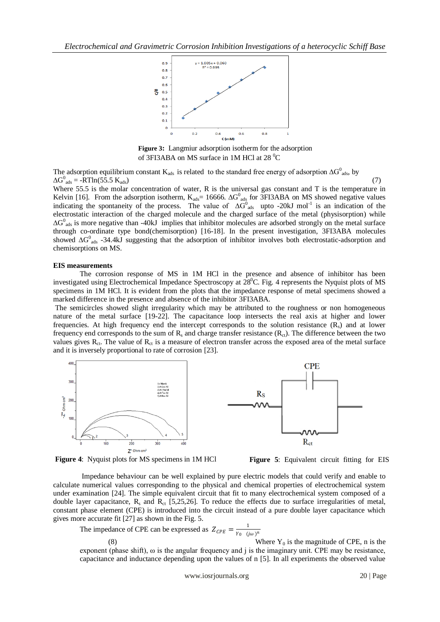

**Figure 3:** Langmiur adsorption isotherm for the adsorption of 3FI3ABA on MS surface in 1M HCl at  $28\text{ }^0C$ 

The adsorption equilibrium constant K<sub>ads</sub> is related to the standard free energy of adsorption ∆G<sup>0</sup><sub>ads</sub>, by  $\Delta G^0_{ads} = -RTIn(55.5 K_{ads})$  (7)

Where 55.5 is the molar concentration of water, R is the universal gas constant and T is the temperature in Kelvin [16]. From the adsorption isotherm,  $K_{ads} = 16666$ .  $\Delta G_{ads}^0$  for 3FI3ABA on MS showed negative values indicating the spontaneity of the process. The value of  $\Delta G^0_{ads}$  upto -20kJ mol<sup>-1</sup> is an indication of the electrostatic interaction of the charged molecule and the charged surface of the metal (physisorption) while  $\Delta G_{\text{ads}}^0$  is more negative than -40kJ implies that inhibitor molecules are adsorbed strongly on the metal surface through co-ordinate type bond(chemisorption) [16-18]. In the present investigation, 3FI3ABA molecules showed ∆G<sup>0</sup><sub>ads</sub> -34.4kJ suggesting that the adsorption of inhibitor involves both electrostatic-adsorption and chemisorptions on MS.

#### **EIS measurements**

The corrosion response of MS in 1M HCl in the presence and absence of inhibitor has been investigated using Electrochemical Impedance Spectroscopy at  $28^{\circ}$ C. Fig. 4 represents the Nyquist plots of MS specimens in 1M HCl. It is evident from the plots that the impedance response of metal specimens showed a marked difference in the presence and absence of the inhibitor 3FI3ABA.

The semicircles showed slight irregularity which may be attributed to the roughness or non homogeneous nature of the metal surface [19-22]. The capacitance loop intersects the real axis at higher and lower frequencies. At high frequency end the intercept corresponds to the solution resistance  $(R_s)$  and at lower frequency end corresponds to the sum of  $R_s$  and charge transfer resistance  $(R<sub>ct</sub>)$ . The difference between the two values gives  $R_{ct}$ . The value of  $R_{ct}$  is a measure of electron transfer across the exposed area of the metal surface and it is inversely proportional to rate of corrosion [23].





**Figure 4**: Nyquist plots for MS specimens in 1M HCl

 **Figure 5**: Equivalent circuit fitting for EIS

Impedance behaviour can be well explained by pure electric models that could verify and enable to calculate numerical values corresponding to the physical and chemical properties of electrochemical system under examination [24]. The simple equivalent circuit that fit to many electrochemical system composed of a double layer capacitance,  $R_s$  and  $R_{ct}$  [5,25,26]. To reduce the effects due to surface irregularities of metal, constant phase element (CPE) is introduced into the circuit instead of a pure double layer capacitance which gives more accurate fit [27] as shown in the Fig. 5.

The impedance of CPE can be expressed as  $Z_{CPE} = \frac{1}{Y_0 - G}$  $Y_0$   $(j\omega)^n$ 

Where  $Y_0$  is the magnitude of CPE, n is the

exponent (phase shift), ω is the angular frequency and j is the imaginary unit. CPE may be resistance, capacitance and inductance depending upon the values of n [5]. In all experiments the observed value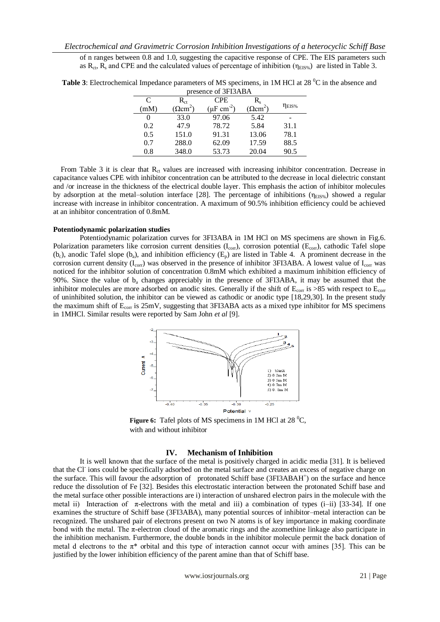of n ranges between 0.8 and 1.0, suggesting the capacitive response of CPE. The EIS parameters such as  $R_{ct}$ ,  $R_s$  and CPE and the calculated values of percentage of inhibition ( $\eta_{EIS\%}$ ) are listed in Table 3.

| Dresence of SFISABA |                            |                             |                        |                         |  |  |
|---------------------|----------------------------|-----------------------------|------------------------|-------------------------|--|--|
| C                   | $R_{\rm ct}$               | <b>CPE</b>                  | R.                     |                         |  |  |
| (mM)                | $\Omega$ cm <sup>2</sup> ) | $(\mu$ F cm <sup>-2</sup> ) | $(\Omega \text{cm}^2)$ | $\eta_{\textrm{EIS}\%}$ |  |  |
| 0                   | 33.0                       | 97.06                       | 5.42                   |                         |  |  |
| 0.2                 | 47.9                       | 78.72                       | 5.84                   | 31.1                    |  |  |
| 0.5                 | 151.0                      | 91.31                       | 13.06                  | 78.1                    |  |  |
| 0.7                 | 288.0                      | 62.09                       | 17.59                  | 88.5                    |  |  |
| 0.8                 | 348.0                      | 53.73                       | 20.04                  | 90.5                    |  |  |
|                     |                            |                             |                        |                         |  |  |

**Table 3**: Electrochemical Impedance parameters of MS specimens, in 1M HCl at 28 <sup>o</sup>C in the absence and presence of 3FI3ABA

From Table 3 it is clear that  $R<sub>ct</sub>$  values are increased with increasing inhibitor concentration. Decrease in capacitance values CPE with inhibitor concentration can be attributed to the decrease in local dielectric constant and /or increase in the thickness of the electrical double layer. This emphasis the action of inhibitor molecules by adsorption at the metal–solution interface [28]. The percentage of inhibitions ( $\eta_{\text{EIS}\%}$ ) showed a regular increase with increase in inhibitor concentration. A maximum of 90.5% inhibition efficiency could be achieved at an inhibitor concentration of 0.8mM.

## **Potentiodynamic polarization studies**

Potentiodynamic polarization curves for 3FI3ABA in 1M HCl on MS specimens are shown in Fig.6. Polarization parameters like corrosion current densities  $(I_{\text{cor}})$ , corrosion potential  $(E_{\text{cor}})$ , cathodic Tafel slope  $(b<sub>c</sub>)$ , anodic Tafel slope  $(b<sub>a</sub>)$ , and inhibition efficiency  $(E<sub>n</sub>)$  are listed in Table 4. A prominent decrease in the corrosion current density ( $I_{corr}$ ) was observed in the presence of inhibitor 3FI3ABA. A lowest value of  $I_{corr}$  was noticed for the inhibitor solution of concentration 0.8mM which exhibited a maximum inhibition efficiency of 90%. Since the value of b<sup>a</sup> changes appreciably in the presence of 3FI3ABA, it may be assumed that the inhibitor molecules are more adsorbed on anodic sites. Generally if the shift of  $E_{\text{corr}}$  is >85 with respect to  $E_{\text{corr}}$ of uninhibited solution, the inhibitor can be viewed as cathodic or anodic type [18,29,30]. In the present study the maximum shift of  $E_{\text{corr}}$  is 25mV, suggesting that 3FI3ABA acts as a mixed type inhibitor for MS specimens in 1MHCl. Similar results were reported by Sam John *et al* [9].



**Figure 6:** Tafel plots of MS specimens in 1M HCl at 28 <sup>0</sup>C, with and without inhibitor

## **IV. Mechanism of Inhibition**

It is well known that the surface of the metal is positively charged in acidic media [31]. It is believed that the Cl<sup>-</sup>ions could be specifically adsorbed on the metal surface and creates an excess of negative charge on the surface. This will favour the adsorption of protonated Schiff base (3FI3ABAH<sup>+</sup>) on the surface and hence reduce the dissolution of Fe [32]. Besides this electrostatic interaction between the protonated Schiff base and the metal surface other possible interactions are i) interaction of unshared electron pairs in the molecule with the metal ii) Interaction of  $\pi$ -electrons with the metal and iii) a combination of types (i–ii) [33-34]. If one examines the structure of Schiff base (3FI3ABA), many potential sources of inhibitor–metal interaction can be recognized. The unshared pair of electrons present on two N atoms is of key importance in making coordinate bond with the metal. The  $\pi$ -electron cloud of the aromatic rings and the azomethine linkage also participate in the inhibition mechanism. Furthermore, the double bonds in the inhibitor molecule permit the back donation of metal d electrons to the  $\pi^*$  orbital and this type of interaction cannot occur with amines [35]. This can be justified by the lower inhibition efficiency of the parent amine than that of Schiff base.

www.iosrjournals.org 21 | Page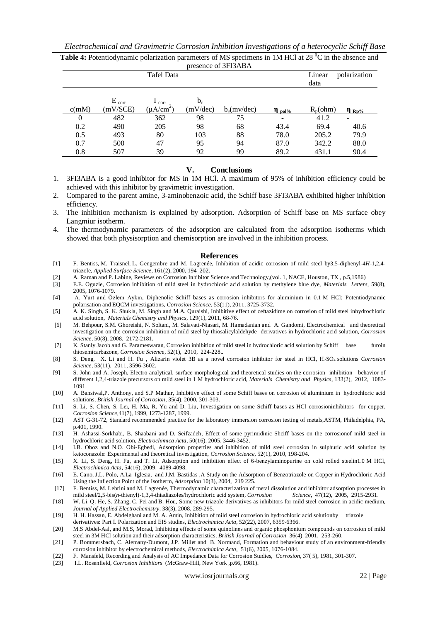| Electrochemical and Gravimetric Corrosion Inhibition Investigations of a heterocyclic Schiff Base |  |  |  |
|---------------------------------------------------------------------------------------------------|--|--|--|
|---------------------------------------------------------------------------------------------------|--|--|--|

| $\mu$ exerce of 51 for the $\mu$ |                        |                                           |                   |               |             |                |               |
|----------------------------------|------------------------|-------------------------------------------|-------------------|---------------|-------------|----------------|---------------|
|                                  |                        | Tafel Data                                |                   |               |             | Linear<br>data | polarization  |
| c(mM)                            | $E_{corr}$<br>(mV/SCE) | $\frac{1}{\text{corr}}$<br>$(\mu A/cm^2)$ | $b_c$<br>(mV/dec) | $b_a(mv/dec)$ | $\eta$ pol% | $R_p(ohm)$     | $\eta_{Rp\%}$ |
| $\theta$                         | 482                    | 362                                       | 98                | 75            | ٠           | 41.2           |               |
| 0.2                              | 490                    | 205                                       | 98                | 68            | 43.4        | 69.4           | 40.6          |
| 0.5                              | 493                    | 80                                        | 103               | 88            | 78.0        | 205.2          | 79.9          |
| 0.7                              | 500                    | 47                                        | 95                | 94            | 87.0        | 342.2          | 88.0          |
| 0.8                              | 507                    | 39                                        | 92                | 99            | 89.2        | 431.1          | 90.4          |
|                                  |                        |                                           |                   |               |             |                |               |

**Table 4:** Potentiodynamic polarization parameters of MS specimens in 1M HCl at 28<sup>°</sup>C in the absence and presence of  $3F13ABA$ 

# **V. Conclusions**

- 1. 3FI3ABA is a good inhibitor for MS in 1M HCl. A maximum of 95% of inhibition efficiency could be achieved with this inhibitor by gravimetric investigation.
- 2. Compared to the parent amine, 3-aminobenzoic acid, the Schiff base 3FI3ABA exhibited higher inhibition efficiency.
- 3. The inhibition mechanism is explained by adsorption. Adsorption of Schiff base on MS surface obey Langmiur isotherm.
- 4. The thermodynamic parameters of the adsorption are calculated from the adsorption isotherms which showed that both physisorption and chemisorption are involved in the inhibition process.

#### **References**

- [1] F. Bentiss, M. Traisnel, L. Gengembre and M. Lagrenée, Inhibition of acidic corrosion of mild steel by3,5-diphenyl-4*H*-1,2,4 triazole, *Applied Surface Science*, 161(2), 2000, 194–202.
- **[**2] A. Raman and P. Labine, Reviews on Corrosion Inhibitor Science and Technology,(vol. 1, NACE, Houston, TX , p.5,1986)
- [3] E.E. Oguzie, Corrosion inhibition of mild steel in hydrochloric acid solution by methylene blue dye, *Materials Letters*, 59(8), 2005, 1076-1079.
- [4] A. Yurt and Özlem Aykın, Diphenolic Schiff bases as corrosion inhibitors for aluminium in 0.1 M HCl: Potentiodynamic polarisation and EQCM investigations, *Corrosion Science,* 53(11), 2011, 3725-3732.
- [5] A. K. Singh, S. K. Shukla, M. Singh and M.A. Quraishi, Inhibitive effect of ceftazidime on corrosion of mild steel inhydrochloric acid solution, *Materials Chemistry and Physics*, 129(1), 2011, 68-76.
- [6] M. Behpour, S.M. Ghoreishi, N. Soltani, M. Salavati-Niasari, M. Hamadanian and A. Gandomi, Electrochemical and theoretical investigation on the corrosion inhibition of mild steel by thiosalicylaldehyde derivatives in hydrochloric acid solution, *Corrosion Science*, 50(8), 2008, 2172-2181.
- [7] K. Stanly Jacob and G. Parameswaran, Corrosion inhibition of mild steel in hydrochloric acid solution by Schiff base furoin thiosemicarbazone, *Corrosion Science*, 52(1), 2010, 224-228..
- [8] S. Deng, X. Li and H. Fu **,** Alizarin violet 3B as a novel corrosion inhibitor for steel in HCl, H2SO<sup>4</sup> solutions *Corrosion Science*, 53(11), 2011, 3596-3602.
- [9] S. John and A. Joseph, Electro analytical, surface morphological and theoretical studies on the corrosion inhibition behavior of different 1,2,4-triazole precursors on mild steel in 1 M hydrochloric acid, *Materials Chemistry and Physics*, 133(2), 2012, 1083- 1091.
- [10] A*.* Bansiwal,P. Anthony, and S.P Mathur, Inhibitive effect of some Schiff bases on corrosion of aluminium in hydrochloric acid solutions, *British Journal of Corrosion,* 35(4), 2000, 301-303.
- [11] S. Li, S. Chen, S. Lei, H. Ma, R. Yu and D. Liu, Investigation on some Schiff bases as HCl corrosioninhibitors for copper, *Corrosion Science*,41(7), 1999, 1273-1287, 1999.
- [12] AST G-31-72, Standard recommended practice for the laboratory immersion corrosion testing of metals,ASTM, Philadelphia, PA, p.401, 1990.
- [13] H. Ashassi-Sorkhabi, B. Shaabani and D. Seifzadeh, Effect of some pyrimidinic Shciff bases on the corrosionof mild steel in hydrochloric acid solution, *Electrochimica Acta*, 50(16), 2005, 3446-3452.
- [14] I.B. Oboz and N.O. Obi-Egbedi, Adsorption properties and inhibition of mild steel corrosion in sulphuric acid solution by ketoconazole: Experimental and theoretical investigation, *Corrosion Science*, 52(1), 2010, 198-204.
- [15] X. Li, S. Deng, H. Fu, and T. Li, Adsorption and inhibition effect of 6-benzylaminopurine on cold rolled steelin1.0 M HCl, *Electrochimica Acta*, 54(16), 2009, 4089-4098.
- [16] E. Cano, J.L. Polo, A.La [I](http://www.springerlink.com/content/?Author=A.+La+Iglesia)glesia, and J.M. Bastidas ,A Study on the Adsorption of Benzotriazole on Copper in Hydrochloric Acid Using the Inflection Point of the Isotherm, *Adsorption* 10(3), 2004, 219 225.
- [17] F. Bentiss, M. Lebrini and M. Lagrenée, Thermodynamic characterization of metal dissolution and inhibitor adsorption processes in mild steel/2,5-bis(*n*-thienyl)-1,3,4-thiadiazoles/hydrochloric acid system, *Corrosion Science*, 47(12), 2005, 2915-2931.
- [18] W. Li, Q. He, S. Zhang, C. Pei and B. Hou, Some new triazole derivatives as inhibitors for mild steel corrosion in acidic medium, *Journal of Applied Electrochemistry*, 38(3), 2008, 289-295.
- [19] H. H. Hassan, E. Abdelghani and M. A. Amin, Inhibition of mild steel corrosion in hydrochloric acid solutionby triazole derivatives: Part I. Polarization and EIS studies, *Electrochimica Acta*, 52(22), 2007, 6359-6366.
- [20] M.S Abdel-Aal, and M.S, Morad, Inhibiting effects of some quinolines and organic phosphonium compounds on corrosion of mild steel in 3M HCl solution and their adsorption characteristics, *British Journal of Corrosion* 36(4), 2001, 253-260.
- [21] P. Bommersbach, C. Alemany-Dumont, J.P. Millet and B. Normand, Formation and behaviour study of an environment-friendly corrosion inhibitor by electrochemical methods, *Electrochimica Acta*, 51(6), 2005, 1076-1084.
- [22] F. Mansfeld, Recording and Analysis of AC Impedance Data for Corrosion Studies, *Corrosion*, 37( 5), 1981, 301-307.
- [23] I.L. Rosenfield, *Corrosion Inhibitors* (McGraw-Hill, New York ,p.66, 1981).